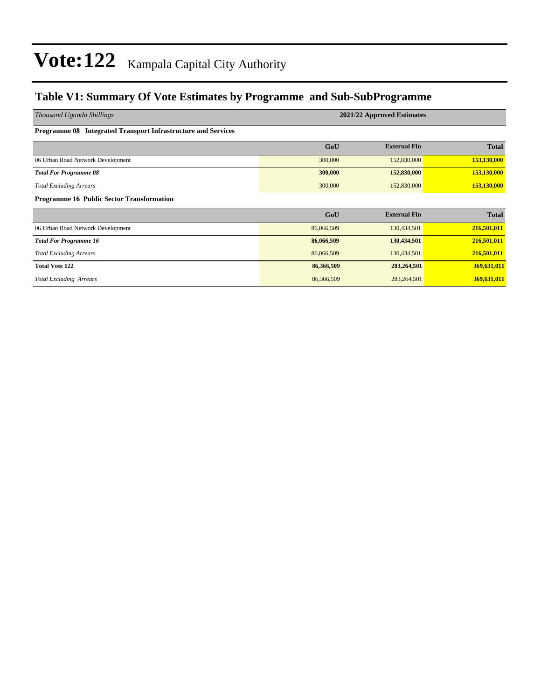### **Table V1: Summary Of Vote Estimates by Programme and Sub-SubProgramme**

| Thousand Uganda Shillings                                     | 2021/22 Approved Estimates |                     |              |  |  |  |  |  |
|---------------------------------------------------------------|----------------------------|---------------------|--------------|--|--|--|--|--|
| Programme 08 Integrated Transport Infrastructure and Services |                            |                     |              |  |  |  |  |  |
|                                                               | GoU                        | <b>External Fin</b> | <b>Total</b> |  |  |  |  |  |
| 06 Urban Road Network Development                             | 300,000                    | 152,830,000         | 153,130,000  |  |  |  |  |  |
| <b>Total For Programme 08</b>                                 | 300,000                    | 152,830,000         | 153,130,000  |  |  |  |  |  |
| <b>Total Excluding Arrears</b>                                | 300,000                    | 152,830,000         | 153,130,000  |  |  |  |  |  |
| Programme 16 Public Sector Transformation                     |                            |                     |              |  |  |  |  |  |
|                                                               | GoU                        | <b>External Fin</b> | <b>Total</b> |  |  |  |  |  |
| 06 Urban Road Network Development                             | 86,066,509                 | 130,434,501         | 216,501,011  |  |  |  |  |  |
| <b>Total For Programme 16</b>                                 | 86,066,509                 | 130,434,501         | 216,501,011  |  |  |  |  |  |
| <b>Total Excluding Arrears</b>                                | 86,066,509                 | 130,434,501         | 216,501,011  |  |  |  |  |  |
| <b>Total Vote 122</b>                                         | 86,366,509                 | 283,264,501         | 369,631,011  |  |  |  |  |  |
| <b>Total Excluding Arrears</b>                                | 86,366,509                 | 283, 264, 501       | 369,631,011  |  |  |  |  |  |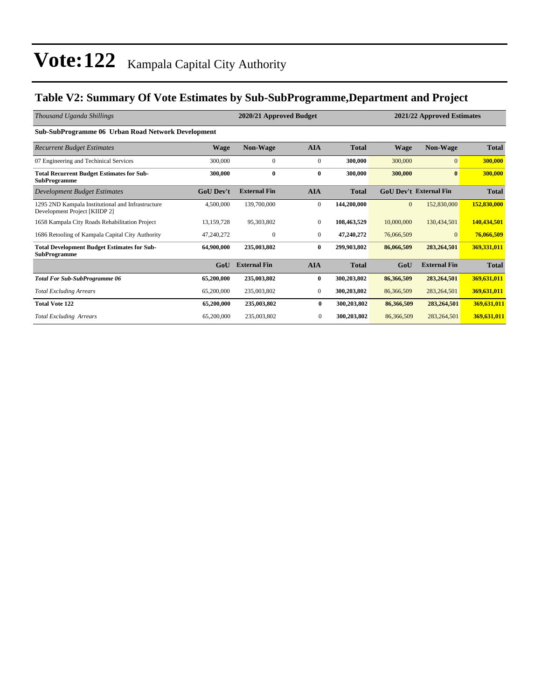### **Table V2: Summary Of Vote Estimates by Sub-SubProgramme,Department and Project**

| Thousand Uganda Shillings                                                          |                  | 2021/22 Approved Estimates |                |              |                |                               |              |
|------------------------------------------------------------------------------------|------------------|----------------------------|----------------|--------------|----------------|-------------------------------|--------------|
| Sub-SubProgramme 06 Urban Road Network Development                                 |                  |                            |                |              |                |                               |              |
| <b>Recurrent Budget Estimates</b>                                                  | <b>Wage</b>      | <b>Non-Wage</b>            | <b>AIA</b>     | <b>Total</b> | <b>Wage</b>    | <b>Non-Wage</b>               | <b>Total</b> |
| 07 Engineering and Techinical Services                                             | 300,000          | $\mathbf{0}$               | $\mathbf{0}$   | 300,000      | 300,000        | $\overline{0}$                | 300,000      |
| <b>Total Recurrent Budget Estimates for Sub-</b><br><b>SubProgramme</b>            | 300,000          | $\bf{0}$                   | $\bf{0}$       | 300,000      | 300,000        | $\mathbf{0}$                  | 300,000      |
| Development Budget Estimates                                                       | <b>GoU</b> Dev't | <b>External Fin</b>        | <b>AIA</b>     | <b>Total</b> |                | <b>GoU Dev't External Fin</b> | <b>Total</b> |
| 1295 2ND Kampala Institutional and Infrastructure<br>Development Project [KIIDP 2] | 4,500,000        | 139,700,000                | $\mathbf{0}$   | 144,200,000  | $\overline{0}$ | 152,830,000                   | 152,830,000  |
| 1658 Kampala City Roads Rehabilitation Project                                     | 13,159,728       | 95,303,802                 | $\mathbf{0}$   | 108,463,529  | 10,000,000     | 130,434,501                   | 140,434,501  |
| 1686 Retooling of Kampala Capital City Authority                                   | 47,240,272       | $\mathbf{0}$               | $\mathbf{0}$   | 47,240,272   | 76,066,509     | $\Omega$                      | 76,066,509   |
| <b>Total Development Budget Estimates for Sub-</b><br><b>SubProgramme</b>          | 64,900,000       | 235,003,802                | $\bf{0}$       | 299,903,802  | 86,066,509     | 283,264,501                   | 369,331,011  |
|                                                                                    | GoU              | <b>External Fin</b>        | <b>AIA</b>     | <b>Total</b> | GoU            | <b>External Fin</b>           | <b>Total</b> |
| <b>Total For Sub-SubProgramme 06</b>                                               | 65,200,000       | 235,003,802                | $\bf{0}$       | 300,203,802  | 86,366,509     | 283,264,501                   | 369,631,011  |
| <b>Total Excluding Arrears</b>                                                     | 65,200,000       | 235,003,802                | $\mathbf{0}$   | 300,203,802  | 86,366,509     | 283, 264, 501                 | 369,631,011  |
| <b>Total Vote 122</b>                                                              | 65,200,000       | 235,003,802                | $\bf{0}$       | 300,203,802  | 86,366,509     | 283,264,501                   | 369,631,011  |
| <b>Total Excluding Arrears</b>                                                     | 65,200,000       | 235,003,802                | $\overline{0}$ | 300,203,802  | 86,366,509     | 283, 264, 501                 | 369,631,011  |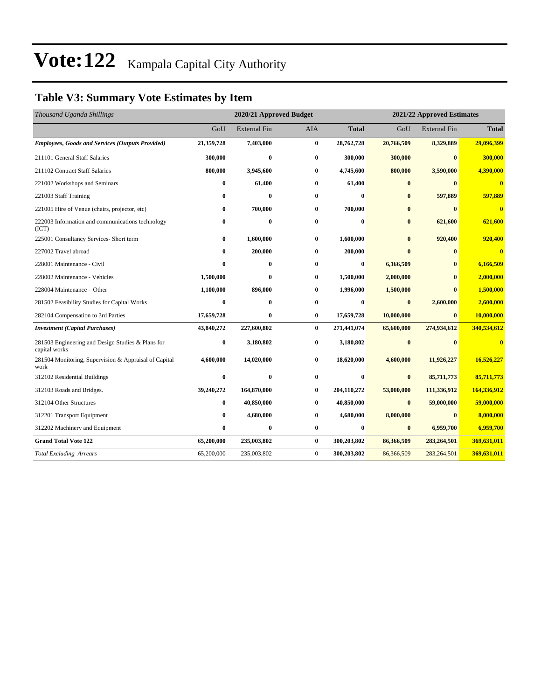### **Table V3: Summary Vote Estimates by Item**

| Thousand Uganda Shillings                                          |              | 2020/21 Approved Budget |              | 2021/22 Approved Estimates |            |                     |                         |  |
|--------------------------------------------------------------------|--------------|-------------------------|--------------|----------------------------|------------|---------------------|-------------------------|--|
|                                                                    | GoU          | <b>External Fin</b>     | <b>AIA</b>   | <b>Total</b>               | GoU        | <b>External Fin</b> | <b>Total</b>            |  |
| <b>Employees, Goods and Services (Outputs Provided)</b>            | 21,359,728   | 7,403,000               | $\bf{0}$     | 28,762,728                 | 20,766,509 | 8,329,889           | 29,096,399              |  |
| 211101 General Staff Salaries                                      | 300,000      | $\bf{0}$                | $\bf{0}$     | 300,000                    | 300,000    | $\bf{0}$            | 300,000                 |  |
| 211102 Contract Staff Salaries                                     | 800,000      | 3,945,600               | $\bf{0}$     | 4,745,600                  | 800,000    | 3,590,000           | 4,390,000               |  |
| 221002 Workshops and Seminars                                      | $\bf{0}$     | 61,400                  | $\bf{0}$     | 61,400                     | $\bf{0}$   | $\mathbf{0}$        | $\overline{\mathbf{0}}$ |  |
| 221003 Staff Training                                              | $\bf{0}$     | $\bf{0}$                | 0            | $\bf{0}$                   | $\bf{0}$   | 597,889             | 597,889                 |  |
| 221005 Hire of Venue (chairs, projector, etc)                      | $\bf{0}$     | 700,000                 | $\bf{0}$     | 700,000                    | $\bf{0}$   | $\mathbf{0}$        | $\overline{0}$          |  |
| 222003 Information and communications technology<br>(ICT)          | $\bf{0}$     | $\bf{0}$                | $\bf{0}$     | 0                          | $\bf{0}$   | 621,600             | 621,600                 |  |
| 225001 Consultancy Services- Short term                            | $\bf{0}$     | 1,600,000               | $\bf{0}$     | 1,600,000                  | $\bf{0}$   | 920,400             | 920,400                 |  |
| 227002 Travel abroad                                               | $\bf{0}$     | 200,000                 | $\bf{0}$     | 200,000                    | $\bf{0}$   | $\mathbf{0}$        | $\overline{\mathbf{0}}$ |  |
| 228001 Maintenance - Civil                                         | $\mathbf{0}$ | $\mathbf{0}$            | 0            | $\bf{0}$                   | 6,166,509  | $\mathbf{0}$        | 6,166,509               |  |
| 228002 Maintenance - Vehicles                                      | 1,500,000    | $\bf{0}$                | $\bf{0}$     | 1,500,000                  | 2,000,000  | $\bf{0}$            | 2,000,000               |  |
| 228004 Maintenance – Other                                         | 1,100,000    | 896,000                 | $\bf{0}$     | 1,996,000                  | 1,500,000  | $\mathbf{0}$        | 1,500,000               |  |
| 281502 Feasibility Studies for Capital Works                       | $\bf{0}$     | $\bf{0}$                | $\bf{0}$     | $\bf{0}$                   | $\bf{0}$   | 2,600,000           | 2,600,000               |  |
| 282104 Compensation to 3rd Parties                                 | 17,659,728   | $\bf{0}$                | $\bf{0}$     | 17,659,728                 | 10,000,000 | $\mathbf{0}$        | 10,000,000              |  |
| <b>Investment</b> (Capital Purchases)                              | 43,840,272   | 227,600,802             | $\bf{0}$     | 271,441,074                | 65,600,000 | 274,934,612         | 340,534,612             |  |
| 281503 Engineering and Design Studies & Plans for<br>capital works | $\bf{0}$     | 3,180,802               | $\bf{0}$     | 3,180,802                  | $\bf{0}$   | $\mathbf{0}$        | $\overline{\mathbf{0}}$ |  |
| 281504 Monitoring, Supervision & Appraisal of Capital<br>work      | 4,600,000    | 14,020,000              | 0            | 18,620,000                 | 4,600,000  | 11,926,227          | 16,526,227              |  |
| 312102 Residential Buildings                                       | $\bf{0}$     | $\bf{0}$                | $\bf{0}$     | 0                          | $\bf{0}$   | 85,711,773          | 85,711,773              |  |
| 312103 Roads and Bridges.                                          | 39,240,272   | 164,870,000             | 0            | 204,110,272                | 53,000,000 | 111,336,912         | 164,336,912             |  |
| 312104 Other Structures                                            | $\bf{0}$     | 40,850,000              | $\bf{0}$     | 40,850,000                 | $\bf{0}$   | 59,000,000          | 59,000,000              |  |
| 312201 Transport Equipment                                         | $\bf{0}$     | 4,680,000               | $\bf{0}$     | 4,680,000                  | 8,000,000  | $\mathbf{0}$        | 8,000,000               |  |
| 312202 Machinery and Equipment                                     | $\bf{0}$     | $\bf{0}$                | $\bf{0}$     | 0                          | $\bf{0}$   | 6,959,700           | 6,959,700               |  |
| <b>Grand Total Vote 122</b>                                        | 65,200,000   | 235,003,802             | $\bf{0}$     | 300,203,802                | 86,366,509 | 283,264,501         | 369,631,011             |  |
| <b>Total Excluding Arrears</b>                                     | 65,200,000   | 235,003,802             | $\mathbf{0}$ | 300,203,802                | 86,366,509 | 283, 264, 501       | 369,631,011             |  |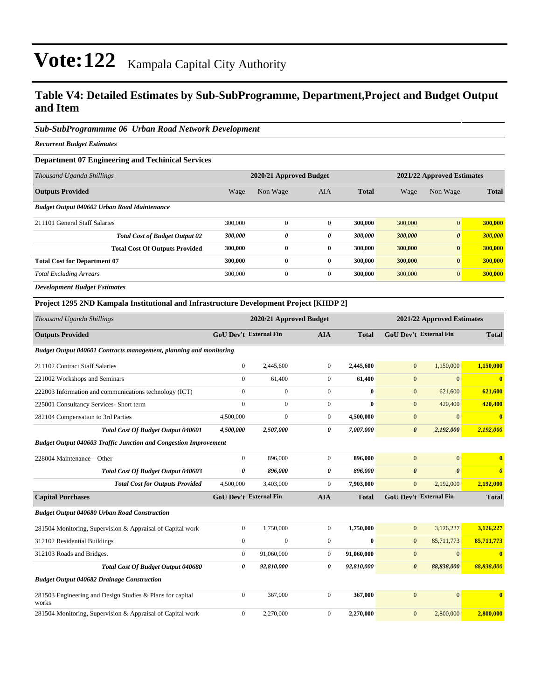### **Table V4: Detailed Estimates by Sub-SubProgramme, Department,Project and Budget Output and Item**

#### *Sub-SubProgrammme 06 Urban Road Network Development*

*Recurrent Budget Estimates*

#### **Department 07 Engineering and Techinical Services**

| 2020/21 Approved Budget |              |              |              |         | 2021/22 Approved Estimates |              |  |
|-------------------------|--------------|--------------|--------------|---------|----------------------------|--------------|--|
| Wage                    | Non Wage     | <b>AIA</b>   | <b>Total</b> | Wage    | Non Wage                   | <b>Total</b> |  |
|                         |              |              |              |         |                            |              |  |
| 300,000                 | $\mathbf{0}$ | $\mathbf{0}$ | 300,000      | 300,000 | $\overline{0}$             | 300,000      |  |
| 300,000                 | 0            | 0            | 300,000      | 300,000 | $\boldsymbol{\theta}$      | 300,000      |  |
| 300,000                 | $\bf{0}$     | $\bf{0}$     | 300,000      | 300,000 | $\bf{0}$                   | 300,000      |  |
| 300,000                 | 0            | $\bf{0}$     | 300,000      | 300,000 | $\bf{0}$                   | 300,000      |  |
| 300,000                 | $\mathbf{0}$ | $\mathbf{0}$ | 300,000      | 300,000 | $\overline{0}$             | 300,000      |  |
|                         |              |              |              |         |                            |              |  |

*Development Budget Estimates*

#### **Project 1295 2ND Kampala Institutional and Infrastructure Development Project [KIIDP 2]**

| Thousand Uganda Shillings                                               | 2020/21 Approved Budget       |                  |                  |              | 2021/22 Approved Estimates    |                               |              |
|-------------------------------------------------------------------------|-------------------------------|------------------|------------------|--------------|-------------------------------|-------------------------------|--------------|
| <b>Outputs Provided</b>                                                 | <b>GoU Dev't External Fin</b> |                  | <b>AIA</b>       | <b>Total</b> | <b>GoU Dev't External Fin</b> |                               | <b>Total</b> |
| Budget Output 040601 Contracts management, planning and monitoring      |                               |                  |                  |              |                               |                               |              |
| 211102 Contract Staff Salaries                                          | $\overline{0}$                | 2,445,600        | $\mathbf{0}$     | 2,445,600    | $\mathbf{0}$                  | 1,150,000                     | 1,150,000    |
| 221002 Workshops and Seminars                                           | $\overline{0}$                | 61,400           | $\mathbf{0}$     | 61,400       | $\mathbf{0}$                  | $\mathbf{0}$                  | $\mathbf{0}$ |
| 222003 Information and communications technology (ICT)                  | $\Omega$                      | $\mathbf{0}$     | $\Omega$         | $\bf{0}$     | $\mathbf{0}$                  | 621,600                       | 621,600      |
| 225001 Consultancy Services- Short term                                 | $\mathbf{0}$                  | $\boldsymbol{0}$ | $\overline{0}$   | $\bf{0}$     | $\mathbf{0}$                  | 420,400                       | 420,400      |
| 282104 Compensation to 3rd Parties                                      | 4,500,000                     | $\boldsymbol{0}$ | $\boldsymbol{0}$ | 4,500,000    | $\mathbf{0}$                  | $\mathbf{0}$                  | $\mathbf{0}$ |
| <b>Total Cost Of Budget Output 040601</b>                               | 4,500,000                     | 2,507,000        | 0                | 7,007,000    | $\boldsymbol{\theta}$         | 2,192,000                     | 2,192,000    |
| <b>Budget Output 040603 Traffic Junction and Congestion Improvement</b> |                               |                  |                  |              |                               |                               |              |
| 228004 Maintenance - Other                                              | $\overline{0}$                | 896,000          | $\mathbf{0}$     | 896,000      | $\overline{0}$                | $\overline{0}$                | $\mathbf{0}$ |
| Total Cost Of Budget Output 040603                                      | 0                             | 896,000          | 0                | 896,000      | $\boldsymbol{\theta}$         | $\theta$                      | $\theta$     |
| <b>Total Cost for Outputs Provided</b>                                  | 4,500,000                     | 3,403,000        | $\mathbf{0}$     | 7,903,000    | $\mathbf{0}$                  | 2,192,000                     | 2,192,000    |
| <b>Capital Purchases</b>                                                | <b>GoU Dev't External Fin</b> |                  | <b>AIA</b>       | <b>Total</b> |                               | <b>GoU Dev't External Fin</b> | <b>Total</b> |
| <b>Budget Output 040680 Urban Road Construction</b>                     |                               |                  |                  |              |                               |                               |              |
| 281504 Monitoring, Supervision & Appraisal of Capital work              | $\overline{0}$                | 1,750,000        | $\mathbf{0}$     | 1,750,000    | $\mathbf{0}$                  | 3,126,227                     | 3,126,227    |
| 312102 Residential Buildings                                            | $\overline{0}$                | $\boldsymbol{0}$ | $\mathbf{0}$     | $\bf{0}$     | $\mathbf{0}$                  | 85,711,773                    | 85,711,773   |
| 312103 Roads and Bridges.                                               | $\mathbf{0}$                  | 91,060,000       | $\overline{0}$   | 91,060,000   | $\mathbf{0}$                  | $\overline{0}$                | $\mathbf{0}$ |
| <b>Total Cost Of Budget Output 040680</b>                               | 0                             | 92,810,000       | 0                | 92,810,000   | $\boldsymbol{\theta}$         | 88,838,000                    | 88,838,000   |
| <b>Budget Output 040682 Drainage Construction</b>                       |                               |                  |                  |              |                               |                               |              |
| 281503 Engineering and Design Studies & Plans for capital<br>works      | $\mathbf{0}$                  | 367,000          | $\mathbf{0}$     | 367,000      | $\overline{0}$                | $\overline{0}$                | $\mathbf{0}$ |
| 281504 Monitoring, Supervision & Appraisal of Capital work              | $\mathbf{0}$                  | 2,270,000        | $\mathbf{0}$     | 2,270,000    | $\mathbf{0}$                  | 2,800,000                     | 2,800,000    |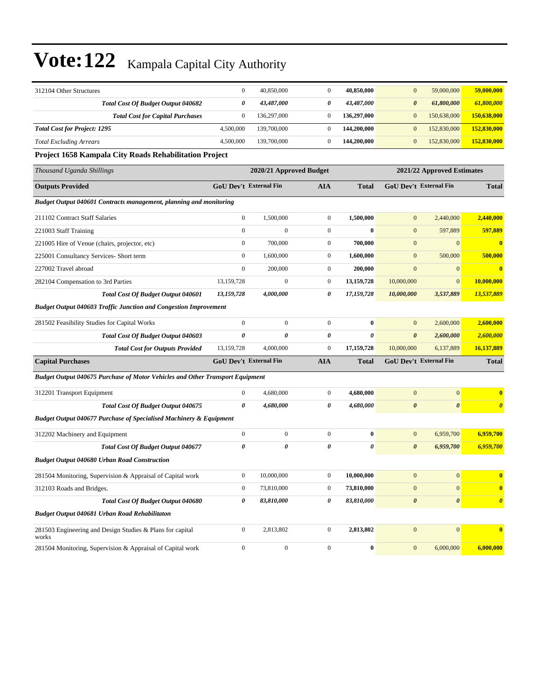| 312104 Other Structures                                                       | $\mathbf{0}$          | 40,850,000                    | $\mathbf{0}$     | 40,850,000   | $\mathbf{0}$          | 59,000,000                 | 59,000,000            |
|-------------------------------------------------------------------------------|-----------------------|-------------------------------|------------------|--------------|-----------------------|----------------------------|-----------------------|
| <b>Total Cost Of Budget Output 040682</b>                                     | 0                     | 43,487,000                    | 0                | 43,487,000   | $\boldsymbol{\theta}$ | 61,800,000                 | 61,800,000            |
| <b>Total Cost for Capital Purchases</b>                                       | $\boldsymbol{0}$      | 136,297,000                   | $\boldsymbol{0}$ | 136,297,000  | $\bf{0}$              | 150,638,000                | 150,638,000           |
| <b>Total Cost for Project: 1295</b>                                           | 4,500,000             | 139,700,000                   | $\boldsymbol{0}$ | 144,200,000  | $\boldsymbol{0}$      | 152,830,000                | 152,830,000           |
| <b>Total Excluding Arrears</b>                                                | 4,500,000             | 139,700,000                   | $\boldsymbol{0}$ | 144,200,000  | $\boldsymbol{0}$      | 152,830,000                | 152,830,000           |
| Project 1658 Kampala City Roads Rehabilitation Project                        |                       |                               |                  |              |                       |                            |                       |
| Thousand Uganda Shillings                                                     |                       | 2020/21 Approved Budget       |                  |              |                       | 2021/22 Approved Estimates |                       |
| <b>Outputs Provided</b>                                                       |                       | <b>GoU Dev't External Fin</b> | AIA              | <b>Total</b> |                       | GoU Dev't External Fin     | <b>Total</b>          |
| Budget Output 040601 Contracts management, planning and monitoring            |                       |                               |                  |              |                       |                            |                       |
| 211102 Contract Staff Salaries                                                | $\boldsymbol{0}$      | 1,500,000                     | $\boldsymbol{0}$ | 1,500,000    | $\mathbf{0}$          | 2,440,000                  | 2,440,000             |
| 221003 Staff Training                                                         | $\boldsymbol{0}$      | 0                             | $\boldsymbol{0}$ | $\bf{0}$     | $\mathbf{0}$          | 597,889                    | 597,889               |
| 221005 Hire of Venue (chairs, projector, etc)                                 | $\boldsymbol{0}$      | 700,000                       | $\boldsymbol{0}$ | 700,000      | $\boldsymbol{0}$      | $\mathbf{0}$               | $\bf{0}$              |
| 225001 Consultancy Services- Short term                                       | $\boldsymbol{0}$      | 1,600,000                     | $\boldsymbol{0}$ | 1,600,000    | $\mathbf{0}$          | 500,000                    | 500,000               |
| 227002 Travel abroad                                                          | $\boldsymbol{0}$      | 200,000                       | $\boldsymbol{0}$ | 200,000      | $\mathbf{0}$          | $\mathbf{0}$               | $\bf{0}$              |
| 282104 Compensation to 3rd Parties                                            | 13,159,728            | $\mathbf{0}$                  | $\boldsymbol{0}$ | 13,159,728   | 10,000,000            | $\mathbf{0}$               | 10,000,000            |
| Total Cost Of Budget Output 040601                                            | 13,159,728            | 4,000,000                     | 0                | 17,159,728   | 10,000,000            | 3,537,889                  | 13,537,889            |
| <b>Budget Output 040603 Traffic Junction and Congestion Improvement</b>       |                       |                               |                  |              |                       |                            |                       |
| 281502 Feasibility Studies for Capital Works                                  | $\boldsymbol{0}$      | $\boldsymbol{0}$              | $\boldsymbol{0}$ | $\bf{0}$     | $\mathbf{0}$          | 2,600,000                  | 2,600,000             |
| Total Cost Of Budget Output 040603                                            | 0                     | 0                             | 0                | $\theta$     | $\boldsymbol{\theta}$ | 2,600,000                  | 2,600,000             |
| <b>Total Cost for Outputs Provided</b>                                        | 13,159,728            | 4,000,000                     | $\boldsymbol{0}$ | 17,159,728   | 10,000,000            | 6,137,889                  | 16,137,889            |
| <b>Capital Purchases</b>                                                      |                       | <b>GoU Dev't External Fin</b> | <b>AIA</b>       | <b>Total</b> |                       | GoU Dev't External Fin     | <b>Total</b>          |
| Budget Output 040675 Purchase of Motor Vehicles and Other Transport Equipment |                       |                               |                  |              |                       |                            |                       |
| 312201 Transport Equipment                                                    | $\boldsymbol{0}$      | 4,680,000                     | $\boldsymbol{0}$ | 4,680,000    | $\boldsymbol{0}$      | $\mathbf{0}$               | $\bf{0}$              |
| Total Cost Of Budget Output 040675                                            | $\boldsymbol{\theta}$ | 4,680,000                     | 0                | 4,680,000    | $\boldsymbol{\theta}$ | $\boldsymbol{\theta}$      | $\boldsymbol{\theta}$ |
| <b>Budget Output 040677 Purchase of Specialised Machinery &amp; Equipment</b> |                       |                               |                  |              |                       |                            |                       |
| 312202 Machinery and Equipment                                                | $\boldsymbol{0}$      | $\boldsymbol{0}$              | $\boldsymbol{0}$ | $\bf{0}$     | $\boldsymbol{0}$      | 6,959,700                  | 6,959,700             |
| Total Cost Of Budget Output 040677                                            | 0                     | 0                             | 0                | $\theta$     | $\boldsymbol{\theta}$ | 6,959,700                  | 6,959,700             |
| <b>Budget Output 040680 Urban Road Construction</b>                           |                       |                               |                  |              |                       |                            |                       |
| 281504 Monitoring, Supervision & Appraisal of Capital work                    | $\boldsymbol{0}$      | 10,000,000                    | $\boldsymbol{0}$ | 10.000.000   | $\mathbf{0}$          | $\mathbf{0}$               | $\bf{0}$              |
| 312103 Roads and Bridges.                                                     | $\boldsymbol{0}$      | 73,810,000                    | $\boldsymbol{0}$ | 73,810,000   | $\boldsymbol{0}$      | $\boldsymbol{0}$           | $\bf{0}$              |
| Total Cost Of Budget Output 040680                                            | 0                     | 83,810,000                    | 0                | 83,810,000   | $\pmb{\theta}$        | $\pmb{\theta}$             | $\boldsymbol{\theta}$ |
| Budget Output 040681 Urban Road Rehabilitaton                                 |                       |                               |                  |              |                       |                            |                       |
| 281503 Engineering and Design Studies & Plans for capital<br>works            | $\boldsymbol{0}$      | 2,813,802                     | $\boldsymbol{0}$ | 2,813,802    | $\boldsymbol{0}$      | $\boldsymbol{0}$           | $\bf{0}$              |
| 281504 Monitoring, Supervision & Appraisal of Capital work                    | $\boldsymbol{0}$      | $\boldsymbol{0}$              | $\boldsymbol{0}$ | $\pmb{0}$    | $\boldsymbol{0}$      | 6,000,000                  | 6,000,000             |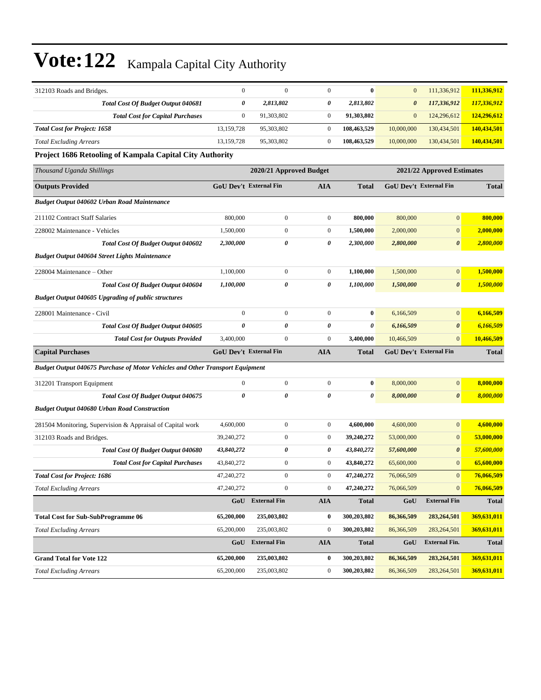| 312103 Roads and Bridges.                                                     | $\mathbf{0}$                  | $\mathbf{0}$        | $\mathbf{0}$     | $\bf{0}$                   | $\mathbf{0}$ | 111,336,912                   | 111,336,912  |  |  |
|-------------------------------------------------------------------------------|-------------------------------|---------------------|------------------|----------------------------|--------------|-------------------------------|--------------|--|--|
| Total Cost Of Budget Output 040681                                            | 0                             | 2,813,802           | 0                | 2,813,802                  | 0            | 117,336,912                   | 117,336,912  |  |  |
| <b>Total Cost for Capital Purchases</b>                                       | $\mathbf{0}$                  | 91,303,802          | $\boldsymbol{0}$ | 91,303,802                 | $\mathbf{0}$ | 124,296,612                   | 124,296,612  |  |  |
| <b>Total Cost for Project: 1658</b>                                           | 13,159,728                    | 95,303,802          | $\boldsymbol{0}$ | 108,463,529                | 10,000,000   | 130,434,501                   | 140,434,501  |  |  |
| <b>Total Excluding Arrears</b>                                                | 13,159,728                    | 95,303,802          | $\boldsymbol{0}$ | 108,463,529                | 10,000,000   | 130,434,501                   | 140,434,501  |  |  |
| Project 1686 Retooling of Kampala Capital City Authority                      |                               |                     |                  |                            |              |                               |              |  |  |
| Thousand Uganda Shillings                                                     | 2020/21 Approved Budget       |                     |                  | 2021/22 Approved Estimates |              |                               |              |  |  |
| <b>Outputs Provided</b>                                                       | <b>GoU Dev't External Fin</b> |                     | <b>AIA</b>       | Total                      |              | <b>GoU Dev't External Fin</b> | <b>Total</b> |  |  |
| <b>Budget Output 040602 Urban Road Maintenance</b>                            |                               |                     |                  |                            |              |                               |              |  |  |
| 211102 Contract Staff Salaries                                                | 800,000                       | $\boldsymbol{0}$    | $\boldsymbol{0}$ | 800,000                    | 800,000      | $\mathbf{0}$                  | 800,000      |  |  |
| 228002 Maintenance - Vehicles                                                 | 1,500,000                     | $\boldsymbol{0}$    | $\boldsymbol{0}$ | 1,500,000                  | 2,000,000    | $\boldsymbol{0}$              | 2,000,000    |  |  |
| <b>Total Cost Of Budget Output 040602</b>                                     | 2,300,000                     | 0                   | 0                | 2,300,000                  | 2,800,000    | $\boldsymbol{\theta}$         | 2,800,000    |  |  |
| <b>Budget Output 040604 Street Lights Maintenance</b>                         |                               |                     |                  |                            |              |                               |              |  |  |
| 228004 Maintenance – Other                                                    | 1,100,000                     | $\boldsymbol{0}$    | $\boldsymbol{0}$ | 1,100,000                  | 1,500,000    | $\mathbf{0}$                  | 1,500,000    |  |  |
| Total Cost Of Budget Output 040604                                            | 1,100,000                     | 0                   | 0                | 1,100,000                  | 1,500,000    | $\boldsymbol{\theta}$         | 1,500,000    |  |  |
| <b>Budget Output 040605 Upgrading of public structures</b>                    |                               |                     |                  |                            |              |                               |              |  |  |
| 228001 Maintenance - Civil                                                    | $\mathbf{0}$                  | $\boldsymbol{0}$    | $\boldsymbol{0}$ | $\bf{0}$                   | 6,166,509    | $\mathbf{0}$                  | 6,166,509    |  |  |
| Total Cost Of Budget Output 040605                                            | 0                             | 0                   | 0                | 0                          | 6,166,509    | $\boldsymbol{\theta}$         | 6,166,509    |  |  |
| <b>Total Cost for Outputs Provided</b>                                        | 3,400,000                     | $\boldsymbol{0}$    | $\boldsymbol{0}$ | 3,400,000                  | 10,466,509   | $\mathbf{0}$                  | 10,466,509   |  |  |
| <b>Capital Purchases</b>                                                      | <b>GoU Dev't External Fin</b> |                     | <b>AIA</b>       | Total                      |              | <b>GoU Dev't External Fin</b> | <b>Total</b> |  |  |
| Budget Output 040675 Purchase of Motor Vehicles and Other Transport Equipment |                               |                     |                  |                            |              |                               |              |  |  |
| 312201 Transport Equipment                                                    | $\mathbf{0}$                  | $\boldsymbol{0}$    | $\boldsymbol{0}$ | $\bf{0}$                   | 8,000,000    | $\mathbf{0}$                  | 8,000,000    |  |  |
| Total Cost Of Budget Output 040675                                            | $\theta$                      | 0                   | 0                | 0                          | 8,000,000    | $\boldsymbol{\theta}$         | 8,000,000    |  |  |
| <b>Budget Output 040680 Urban Road Construction</b>                           |                               |                     |                  |                            |              |                               |              |  |  |
| 281504 Monitoring, Supervision & Appraisal of Capital work                    | 4,600,000                     | $\boldsymbol{0}$    | $\boldsymbol{0}$ | 4,600,000                  | 4,600,000    | $\boldsymbol{0}$              | 4,600,000    |  |  |
| 312103 Roads and Bridges.                                                     | 39,240,272                    | 0                   | $\boldsymbol{0}$ | 39,240,272                 | 53,000,000   | $\boldsymbol{0}$              | 53,000,000   |  |  |
| Total Cost Of Budget Output 040680                                            | 43,840,272                    | 0                   | 0                | 43,840,272                 | 57,600,000   | $\pmb{\theta}$                | 57,600,000   |  |  |
| <b>Total Cost for Capital Purchases</b>                                       | 43,840,272                    | $\boldsymbol{0}$    | $\boldsymbol{0}$ | 43,840,272                 | 65,600,000   | $\mathbf{0}$                  | 65,600,000   |  |  |
| <b>Total Cost for Project: 1686</b>                                           | 47,240,272                    | $\mathbf{0}$        | $\boldsymbol{0}$ | 47,240,272                 | 76,066,509   | $\mathbf{0}$                  | 76,066,509   |  |  |
| <b>Total Excluding Arrears</b>                                                | 47,240,272                    | $\boldsymbol{0}$    | $\boldsymbol{0}$ | 47,240,272                 | 76,066,509   | $\boldsymbol{0}$              | 76,066,509   |  |  |
|                                                                               | GoU                           | <b>External Fin</b> | <b>AIA</b>       | <b>Total</b>               | GoU          | <b>External Fin</b>           | <b>Total</b> |  |  |
| <b>Total Cost for Sub-SubProgramme 06</b>                                     | 65,200,000                    | 235,003,802         | 0                | 300,203,802                | 86,366,509   | 283,264,501                   | 369,631,011  |  |  |
| <b>Total Excluding Arrears</b>                                                | 65,200,000                    | 235,003,802         | $\boldsymbol{0}$ | 300,203,802                | 86,366,509   | 283, 264, 501                 | 369,631,011  |  |  |
|                                                                               | GoU                           | <b>External Fin</b> | <b>AIA</b>       | <b>Total</b>               | GoU          | <b>External Fin.</b>          | <b>Total</b> |  |  |
| <b>Grand Total for Vote 122</b>                                               | 65,200,000                    | 235,003,802         | 0                | 300,203,802                | 86,366,509   | 283,264,501                   | 369,631,011  |  |  |
| <b>Total Excluding Arrears</b>                                                | 65,200,000                    | 235,003,802         | $\boldsymbol{0}$ | 300,203,802                | 86,366,509   | 283, 264, 501                 | 369,631,011  |  |  |